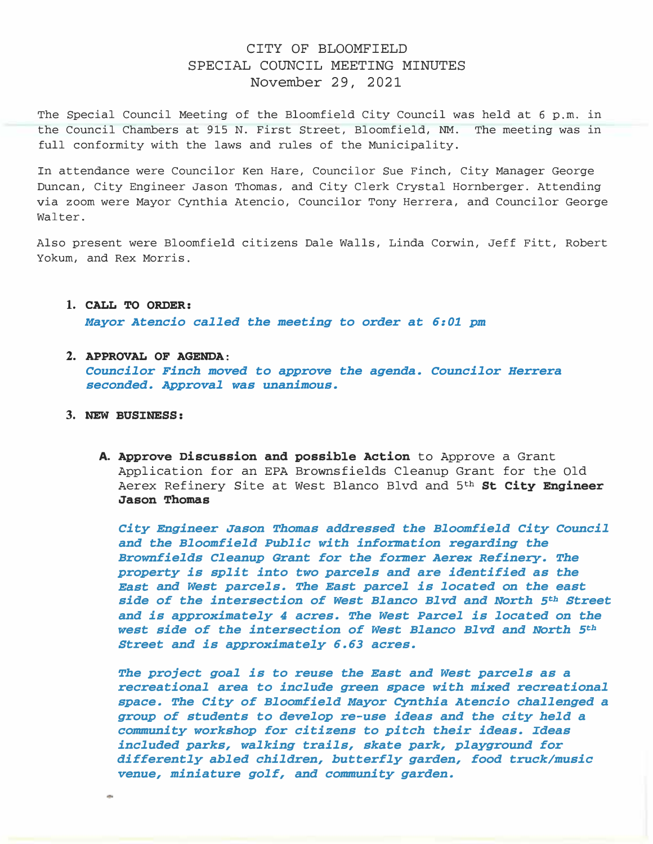## CITY OF BLOOMFIELD SPECIAL COUNCIL MEETING MINUTES November 29, 2021

The Special Council Meeting of the Bloomfield City Council was held at 6 p.m. in the Council Chambers at 915 N. First Street, Bloomfield, NM. The meeting was in full conformity with the laws and rules of the Municipality.

In attendance were Councilor Ken Hare, Councilor Sue Finch, City Manager George Duncan, City Engineer Jason Thomas, and City Clerk Crystal Hornberger. Attending via zoom were Mayor Cynthia Atencio, Councilor Tony Herrera, and Councilor George Walter.

Also present were Bloomfield citizens Dale Walls, Linda Corwin, Jeff Fitt, Robert Yokum, and Rex Morris.

1. CALL TO ORDER:

Mayor Atencio called the meeting to order at 6:01 pm

2. APPROVAL OF AGENDA:

Councilor Finch moved to approve the agenda. Councilor Herrera seconded. Approval was unanimous.

- 3. NEW BUSINESS:
	- A. Approve Discussion and possible Action to Approve a Grant Application for an EPA Brownsfields Cleanup Grant for the Old Aerex Refinery Site at West Blanco Blvd and 5<sup>th</sup> St City Engineer Jason Thomas

City Engineer Jason Thomas addressed the Bloomfield City Council and the Bloomfield Public with information regarding the Brownfields Cleanup Grant for the former Aerex Refinery. The property is split into two parcels and are identified as the East and West parcels. The East parcel is located on the east side of the intersection of west Blanco Blvd and North 5th Street and is approximately 4 acres. The West Parcel is located on the west side of the intersection of West Blanco Blvd and North 5th Street and is approximately 6.63 acres.

The project goal is to reuse the East and West parcels as a recreational area to include green space with mixed recreational space. The City of Bloomfield Mayor Cynthia Atencio challenged a group of students to develop re-use ideas and the city held a community workshop for citizens to pitch their ideas. Ideas included parks, walking trails, skate park, playground for differently abled children, butterfly garden, food truck/music venue, miniature golf, and community garden.